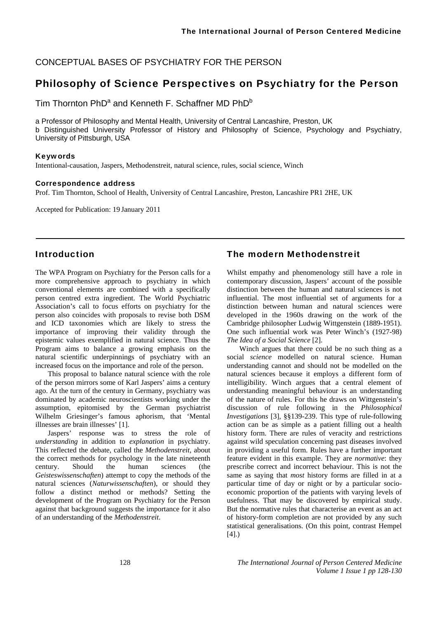CONCEPTUAL BASES OF PSYCHIATRY FOR THE PERSON

# Philosophy of Science Perspectives on Psychiatry for the Person

Tim Thornton  $PhD^a$  and Kenneth F. Schaffner MD  $PhD^b$ 

a Professor of Philosophy and Mental Health, University of Central Lancashire, Preston, UK b Distinguished University Professor of History and Philosophy of Science, Psychology and Psychiatry, University of Pittsburgh, USA

#### Keywords

Intentional-causation, Jaspers, Methodenstreit, natural science, rules, social science, Winch

#### Correspondence address

Prof. Tim Thornton, School of Health, University of Central Lancashire, Preston, Lancashire PR1 2HE, UK

Accepted for Publication: 19 January 2011

### Introduction

The WPA Program on Psychiatry for the Person calls for a more comprehensive approach to psychiatry in which conventional elements are combined with a specifically person centred extra ingredient. The World Psychiatric Association's call to focus efforts on psychiatry for the person also coincides with proposals to revise both DSM and ICD taxonomies which are likely to stress the importance of improving their validity through the epistemic values exemplified in natural science. Thus the Program aims to balance a growing emphasis on the natural scientific underpinnings of psychiatry with an increased focus on the importance and role of the person.

This proposal to balance natural science with the role of the person mirrors some of Karl Jaspers' aims a century ago. At the turn of the century in Germany, psychiatry was dominated by academic neuroscientists working under the assumption, epitomised by the German psychiatrist Wilhelm Griesinger's famous aphorism, that 'Mental illnesses are brain illnesses' [1].

Jaspers' response was to stress the role of *understanding* in addition to *explanation* in psychiatry. This reflected the debate, called the *Methodenstreit*, about the correct methods for psychology in the late nineteenth century. Should the human sciences (the *Geisteswissenschaften*) attempt to copy the methods of the natural sciences (*Naturwissenschaften*), or should they follow a distinct method or methods? Setting the development of the Program on Psychiatry for the Person against that background suggests the importance for it also of an understanding of the *Methodenstreit*.

### The modern Methodenstreit

Whilst empathy and phenomenology still have a role in contemporary discussion, Jaspers' account of the possible distinction between the human and natural sciences is not influential. The most influential set of arguments for a distinction between human and natural sciences were developed in the 1960s drawing on the work of the Cambridge philosopher Ludwig Wittgenstein (1889-1951). One such influential work was Peter Winch's (1927-98) *The Idea of a Social Science* [2].

Winch argues that there could be no such thing as a social *science* modelled on natural science. Human understanding cannot and should not be modelled on the natural sciences because it employs a different form of intelligibility. Winch argues that a central element of understanding meaningful behaviour is an understanding of the nature of rules. For this he draws on Wittgenstein's discussion of rule following in the *Philosophical Investigations* [3], §§139-239. This type of rule-following action can be as simple as a patient filling out a health history form. There are rules of veracity and restrictions against wild speculation concerning past diseases involved in providing a useful form. Rules have a further important feature evident in this example. They are *normative*: they prescribe correct and incorrect behaviour. This is not the same as saying that *most* history forms are filled in at a particular time of day or night or by a particular socioeconomic proportion of the patients with varying levels of usefulness. That may be discovered by empirical study. But the normative rules that characterise an event as an act of history-form completion are not provided by any such statistical generalisations. (On this point, contrast Hempel [4].)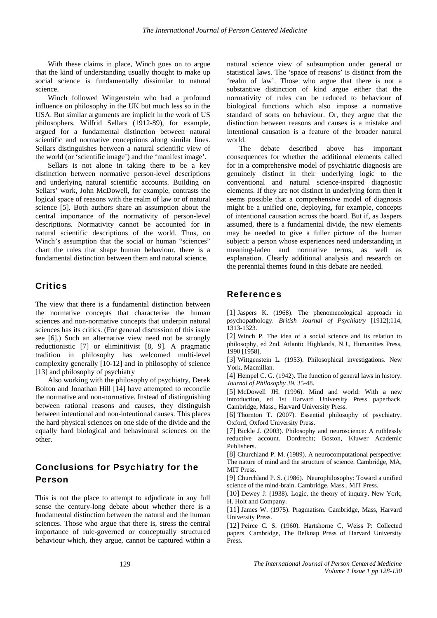With these claims in place, Winch goes on to argue that the kind of understanding usually thought to make up social science is fundamentally dissimilar to natural science.

Winch followed Wittgenstein who had a profound influence on philosophy in the UK but much less so in the USA. But similar arguments are implicit in the work of US philosophers. Wilfrid Sellars (1912-89), for example, argued for a fundamental distinction between natural scientific and normative conceptions along similar lines. Sellars distinguishes between a natural scientific view of the world (or 'scientific image') and the 'manifest image'.

Sellars is not alone in taking there to be a key distinction between normative person-level descriptions and underlying natural scientific accounts. Building on Sellars' work, John McDowell, for example, contrasts the logical space of reasons with the realm of law or of natural science [5]. Both authors share an assumption about the central importance of the normativity of person-level descriptions. Normativity cannot be accounted for in natural scientific descriptions of the world. Thus, on Winch's assumption that the social or human "sciences" chart the rules that shape human behaviour, there is a fundamental distinction between them and natural science.

### **Critics**

The view that there is a fundamental distinction between the normative concepts that characterise the human sciences and non-normative concepts that underpin natural sciences has its critics. (For general discussion of this issue see [6].) Such an alternative view need not be strongly reductionistic [7] or eliminitivist [8, 9]. A pragmatic tradition in philosophy has welcomed multi-level complexity generally [10-12] and in philosophy of science [13] and philosophy of psychiatry

Also working with the philosophy of psychiatry, Derek Bolton and Jonathan Hill [14] have attempted to reconcile the normative and non-normative. Instead of distinguishing between rational reasons and causes, they distinguish between intentional and non-intentional causes. This places the hard physical sciences on one side of the divide and the equally hard biological and behavioural sciences on the other.

## Conclusions for Psychiatry for the Person

This is not the place to attempt to adjudicate in any full sense the century-long debate about whether there is a fundamental distinction between the natural and the human sciences. Those who argue that there is, stress the central importance of rule-governed or conceptually structured behaviour which, they argue, cannot be captured within a natural science view of subsumption under general or statistical laws. The 'space of reasons' is distinct from the 'realm of law'. Those who argue that there is not a substantive distinction of kind argue either that the normativity of rules can be reduced to behaviour of biological functions which also impose a normative standard of sorts on behaviour. Or, they argue that the distinction between reasons and causes is a mistake and intentional causation is a feature of the broader natural world.

The debate described above has important consequences for whether the additional elements called for in a comprehensive model of psychiatric diagnosis are genuinely distinct in their underlying logic to the conventional and natural science-inspired diagnostic elements. If they are not distinct in underlying form then it seems possible that a comprehensive model of diagnosis might be a unified one, deploying, for example, concepts of intentional causation across the board. But if, as Jaspers assumed, there is a fundamental divide, the new elements may be needed to give a fuller picture of the human subject: a person whose experiences need understanding in meaning-laden and normative terms, as well as explanation. Clearly additional analysis and research on the perennial themes found in this debate are needed.

#### References

[1] Jaspers K. (1968). The phenomenological approach in psychopathology. *British Journal of Psychiatry* [1912];114, 1313-1323.

[2] Winch P. The idea of a social science and its relation to philosophy, ed 2nd. Atlantic Highlands, N.J., Humanities Press, 1990 [1958].

[3] Wittgenstein L. (1953). Philosophical investigations. New York, Macmillan.

[4] Hempel C. G. (1942). The function of general laws in history. *Journal of Philosophy* 39, 35-48.

[5] McDowell JH. (1996). Mind and world: With a new introduction, ed 1st Harvard University Press paperback. Cambridge, Mass., Harvard University Press.

[6] Thornton T. (2007). Essential philosophy of psychiatry. Oxford, Oxford University Press.

[7] Bickle J. (2003). Philosophy and neuroscience: A ruthlessly reductive account. Dordrecht; Boston, Kluwer Academic Publishers.

[8] Churchland P. M. (1989). A neurocomputational perspective: The nature of mind and the structure of science. Cambridge, MA, MIT Press.

[9] Churchland P. S. (1986). Neurophilosophy: Toward a unified science of the mind-brain. Cambridge, Mass., MIT Press.

[10] Dewey J: (1938). Logic, the theory of inquiry. New York, H. Holt and Company.

[11] James W. (1975). Pragmatism. Cambridge, Mass, Harvard University Press.

[12] Peirce C. S. (1960). Hartshorne C, Weiss P: Collected papers. Cambridge, The Belknap Press of Harvard University Press.

129 *The International Journal of Person Centered Medicine Volume 1 Issue 1 pp 128-130*